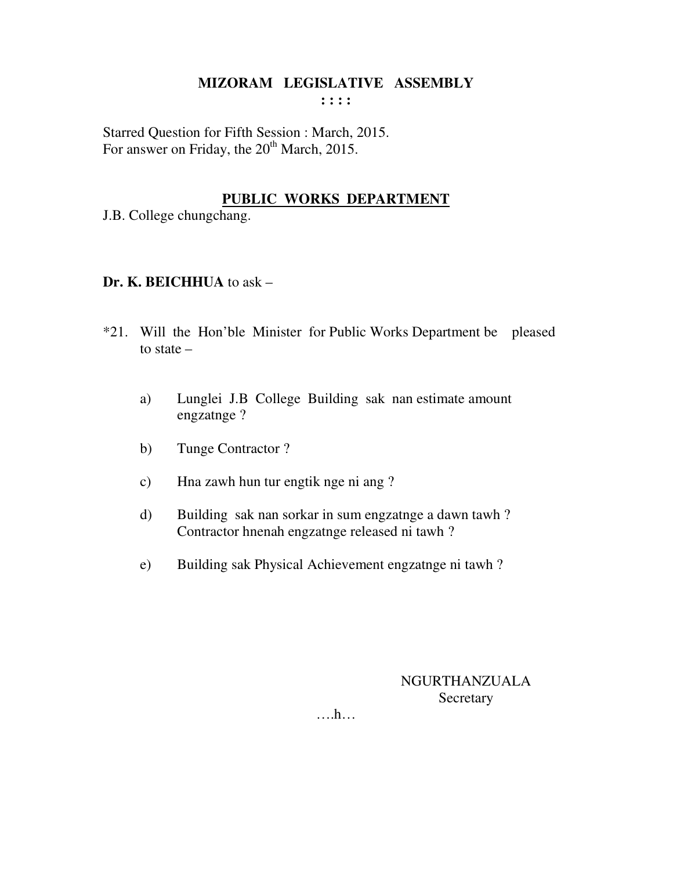Starred Question for Fifth Session : March, 2015. For answer on Friday, the 20<sup>th</sup> March, 2015.

## **PUBLIC WORKS DEPARTMENT**

J.B. College chungchang.

## **Dr. K. BEICHHUA** to ask –

- \*21. Will the Hon'ble Minister for Public Works Department be pleased to state –
	- a) Lunglei J.B College Building sak nan estimate amount engzatnge ?
	- b) Tunge Contractor ?
	- c) Hna zawh hun tur engtik nge ni ang ?
	- d) Building sak nan sorkar in sum engzatnge a dawn tawh ? Contractor hnenah engzatnge released ni tawh ?
	- e) Building sak Physical Achievement engzatnge ni tawh ?

# NGURTHANZUALA **Secretary**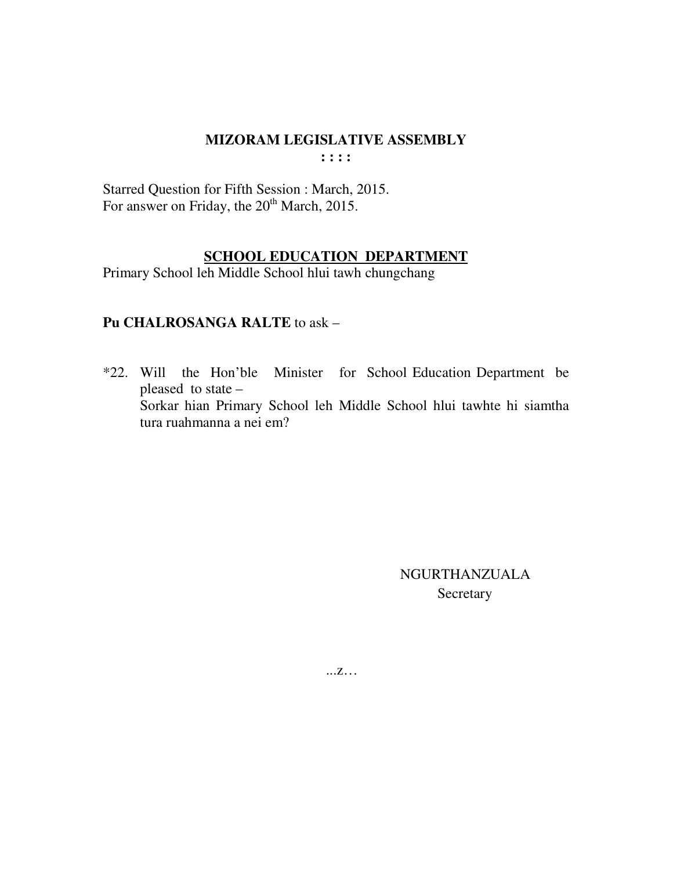**: : : :** 

Starred Question for Fifth Session : March, 2015. For answer on Friday, the 20<sup>th</sup> March, 2015.

### **SCHOOL EDUCATION DEPARTMENT**

Primary School leh Middle School hlui tawh chungchang

### **Pu CHALROSANGA RALTE** to ask –

\*22. Will the Hon'ble Minister for School Education Department be pleased to state – Sorkar hian Primary School leh Middle School hlui tawhte hi siamtha tura ruahmanna a nei em?

> NGURTHANZUALA Secretary

...z…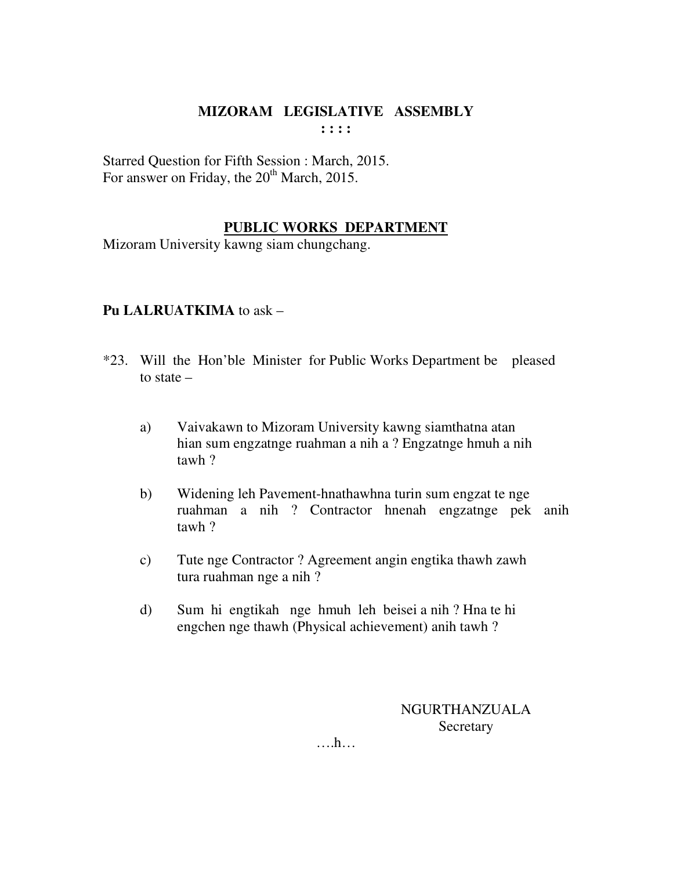Starred Question for Fifth Session : March, 2015. For answer on Friday, the  $20<sup>th</sup>$  March, 2015.

## **PUBLIC WORKS DEPARTMENT**

Mizoram University kawng siam chungchang.

## **Pu LALRUATKIMA** to ask –

- \*23. Will the Hon'ble Minister for Public Works Department be pleased to state –
	- a) Vaivakawn to Mizoram University kawng siamthatna atan hian sum engzatnge ruahman a nih a ? Engzatnge hmuh a nih tawh ?
	- b) Widening leh Pavement-hnathawhna turin sum engzat te nge ruahman a nih ? Contractor hnenah engzatnge pek anih tawh ?
	- c) Tute nge Contractor ? Agreement angin engtika thawh zawh tura ruahman nge a nih ?
	- d) Sum hi engtikah nge hmuh leh beisei a nih ? Hna te hi engchen nge thawh (Physical achievement) anih tawh ?

NGURTHANZUALA Secretary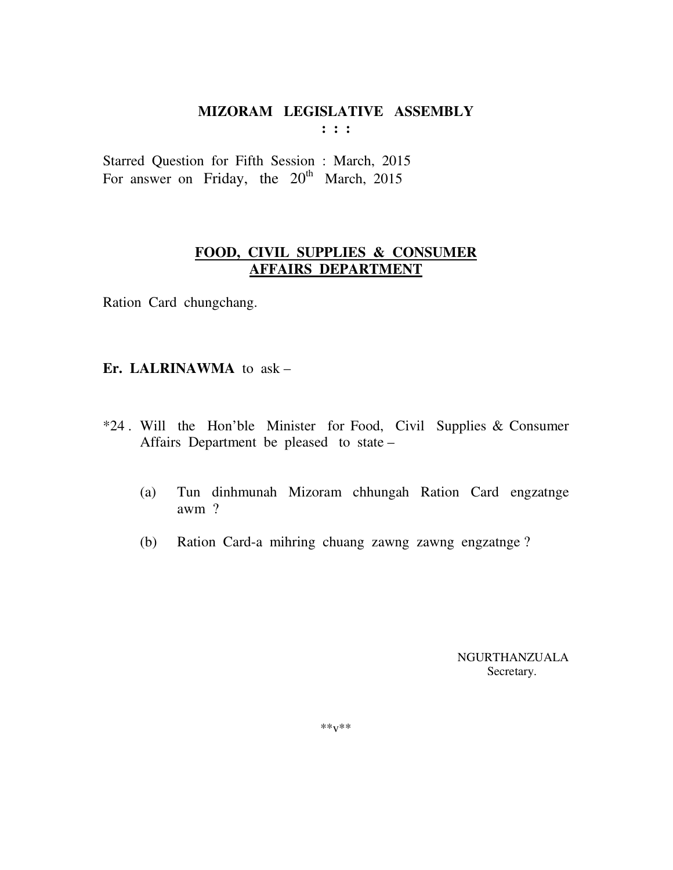**: : :** 

Starred Question for Fifth Session : March, 2015 For answer on Friday, the  $20^{th}$  March, 2015

## **FOOD, CIVIL SUPPLIES & CONSUMER AFFAIRS DEPARTMENT**

Ration Card chungchang.

### **Er. LALRINAWMA** to ask –

- \*24 . Will the Hon'ble Minister for Food, Civil Supplies & Consumer Affairs Department be pleased to state –
	- (a) Tun dinhmunah Mizoram chhungah Ration Card engzatnge awm ?
	- (b) Ration Card-a mihring chuang zawng zawng engzatnge ?

 NGURTHANZUALA Secretary.

 $***v***$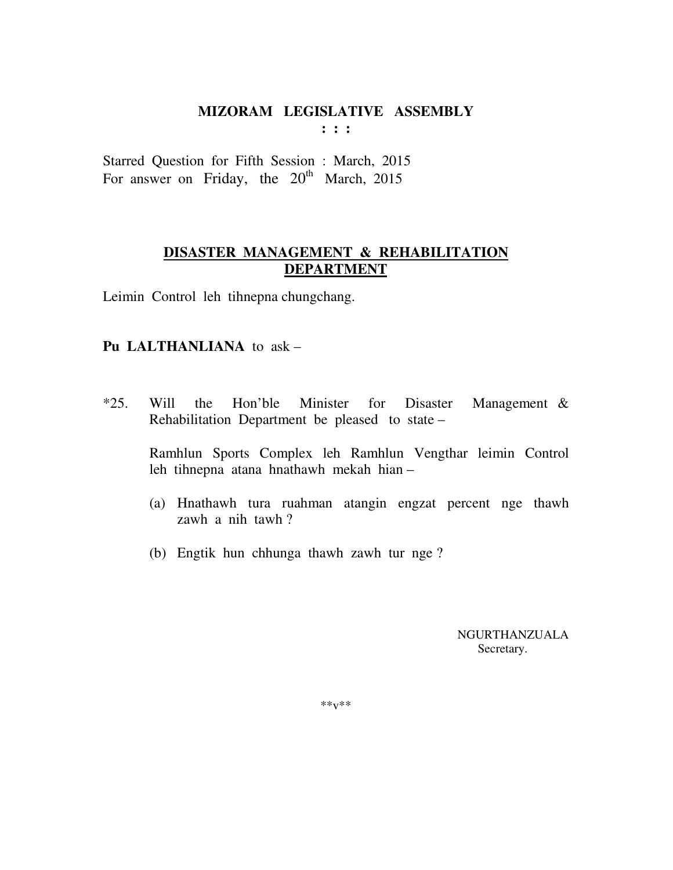**: : :** 

Starred Question for Fifth Session : March, 2015 For answer on Friday, the  $20^{th}$  March, 2015

# **DISASTER MANAGEMENT & REHABILITATION DEPARTMENT**

Leimin Control leh tihnepna chungchang.

# **Pu LALTHANLIANA** to ask –

\*25. Will the Hon'ble Minister for Disaster Management & Rehabilitation Department be pleased to state –

 Ramhlun Sports Complex leh Ramhlun Vengthar leimin Control leh tihnepna atana hnathawh mekah hian –

- (a) Hnathawh tura ruahman atangin engzat percent nge thawh zawh a nih tawh ?
- (b) Engtik hun chhunga thawh zawh tur nge ?

 NGURTHANZUALA Secretary.

\*\*v\*\*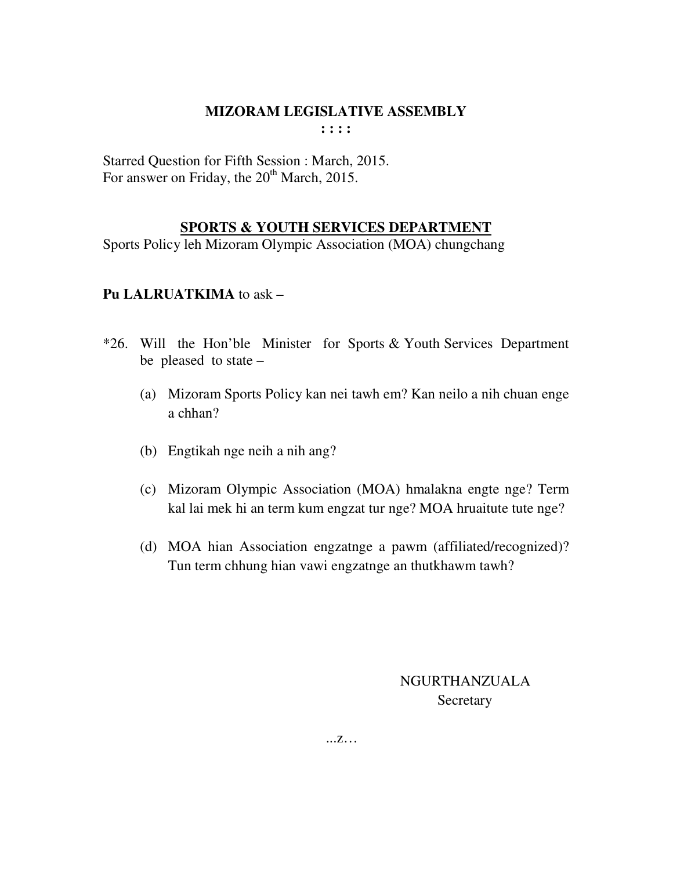Starred Question for Fifth Session : March, 2015. For answer on Friday, the  $20<sup>th</sup>$  March, 2015.

## **SPORTS & YOUTH SERVICES DEPARTMENT**

Sports Policy leh Mizoram Olympic Association (MOA) chungchang

## **Pu LALRUATKIMA** to ask –

- \*26. Will the Hon'ble Minister for Sports & Youth Services Department be pleased to state –
	- (a) Mizoram Sports Policy kan nei tawh em? Kan neilo a nih chuan enge a chhan?
	- (b) Engtikah nge neih a nih ang?
	- (c) Mizoram Olympic Association (MOA) hmalakna engte nge? Term kal lai mek hi an term kum engzat tur nge? MOA hruaitute tute nge?
	- (d) MOA hian Association engzatnge a pawm (affiliated/recognized)? Tun term chhung hian vawi engzatnge an thutkhawm tawh?

# NGURTHANZUALA Secretary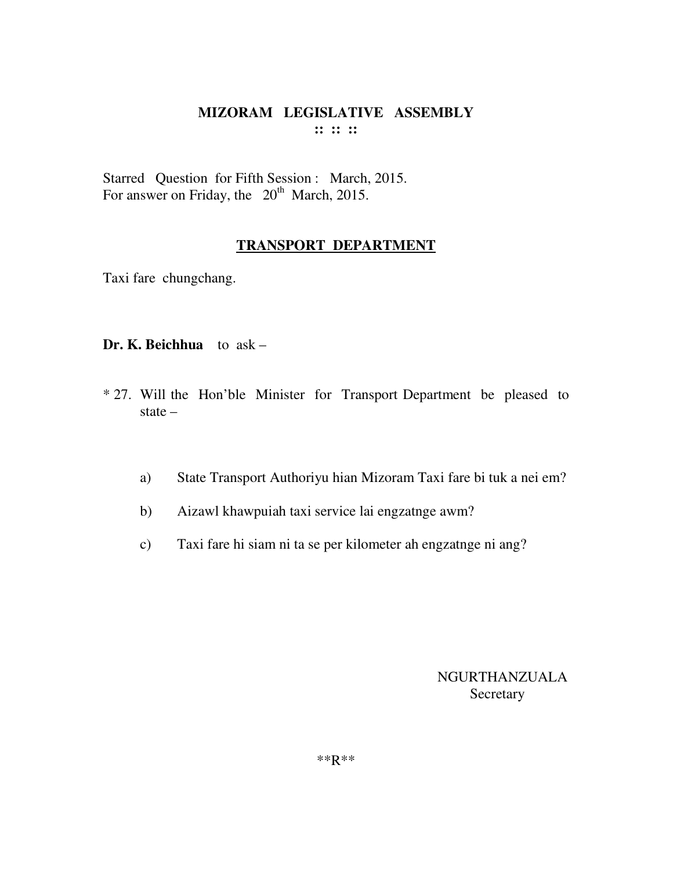Starred Question for Fifth Session : March, 2015. For answer on Friday, the  $20^{th}$  March, 2015.

### **TRANSPORT DEPARTMENT**

Taxi fare chungchang.

### **Dr. K. Beichhua** to ask –

- \* 27. Will the Hon'ble Minister for Transport Department be pleased to state –
	- a) State Transport Authoriyu hian Mizoram Taxi fare bi tuk a nei em?
	- b) Aizawl khawpuiah taxi service lai engzatnge awm?
	- c) Taxi fare hi siam ni ta se per kilometer ah engzatnge ni ang?

# NGURTHANZUALA Secretary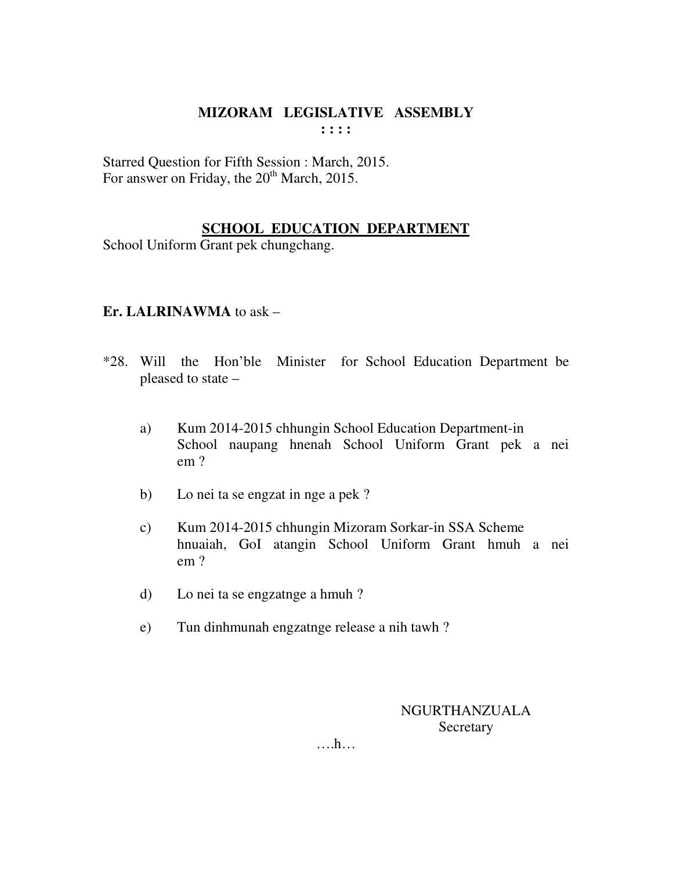Starred Question for Fifth Session : March, 2015. For answer on Friday, the  $20<sup>th</sup>$  March, 2015.

# **SCHOOL EDUCATION DEPARTMENT**

School Uniform Grant pek chungchang.

### **Er. LALRINAWMA** to ask –

- \*28. Will the Hon'ble Minister for School Education Department be pleased to state –
	- a) Kum 2014-2015 chhungin School Education Department-in School naupang hnenah School Uniform Grant pek a nei em ?
	- b) Lo nei ta se engzat in nge a pek ?
	- c) Kum 2014-2015 chhungin Mizoram Sorkar-in SSA Scheme hnuaiah, GoI atangin School Uniform Grant hmuh a nei em ?
	- d) Lo nei ta se engzatnge a hmuh ?
	- e) Tun dinhmunah engzatnge release a nih tawh ?

NGURTHANZUALA **Secretary**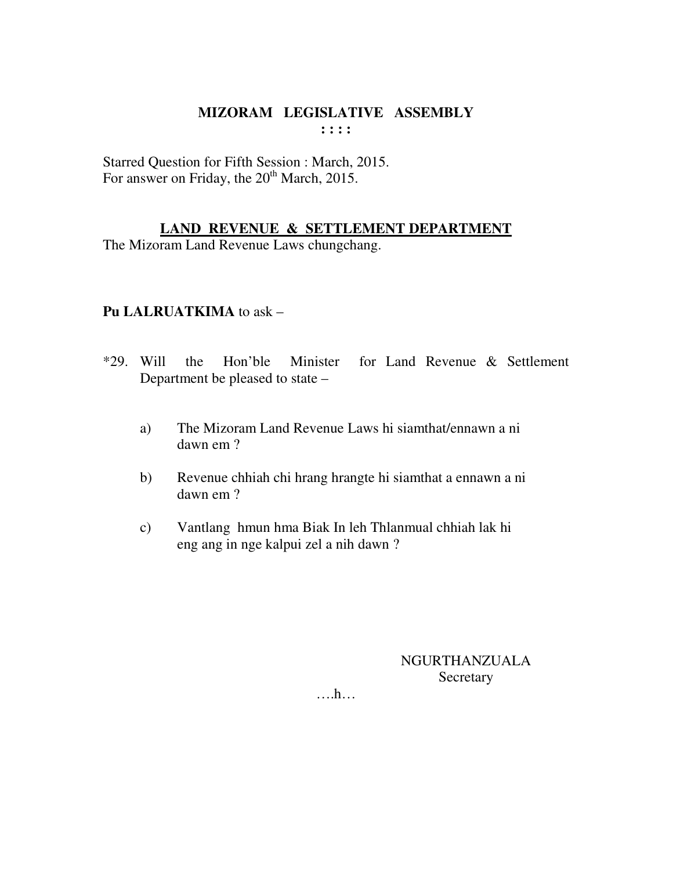Starred Question for Fifth Session : March, 2015. For answer on Friday, the 20<sup>th</sup> March, 2015.

**LAND REVENUE & SETTLEMENT DEPARTMENT**

The Mizoram Land Revenue Laws chungchang.

## **Pu LALRUATKIMA** to ask –

- \*29. Will the Hon'ble Minister for Land Revenue & Settlement Department be pleased to state –
	- a) The Mizoram Land Revenue Laws hi siamthat/ennawn a ni dawn em ?
	- b) Revenue chhiah chi hrang hrangte hi siamthat a ennawn a ni dawn em ?
	- c) Vantlang hmun hma Biak In leh Thlanmual chhiah lak hi eng ang in nge kalpui zel a nih dawn ?

NGURTHANZUALA **Secretary**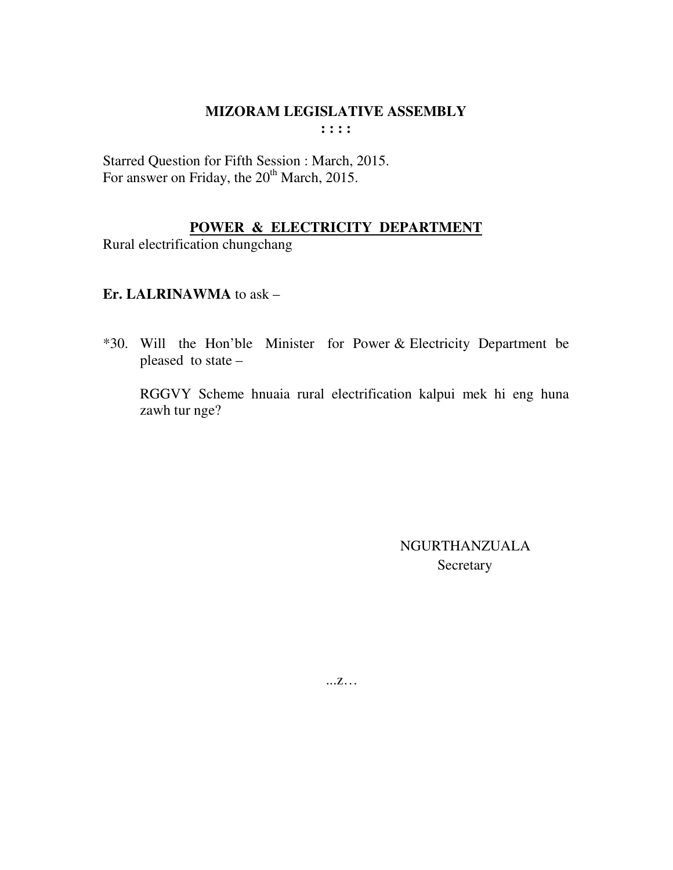Starred Question for Fifth Session : March, 2015. For answer on Friday, the 20<sup>th</sup> March, 2015.

# POWER & ELECTRICITY DEPARTMENT

Rural electrification chungchang

## Er. LALRINAWMA to ask -

\*30. Will the Hon'ble Minister for Power & Electricity Department be pleased to state -

RGGVY Scheme hnuaia rural electrification kalpui mek hi eng huna zawh tur nge?

> NGURTHANZUALA Secretary

 $...Z...$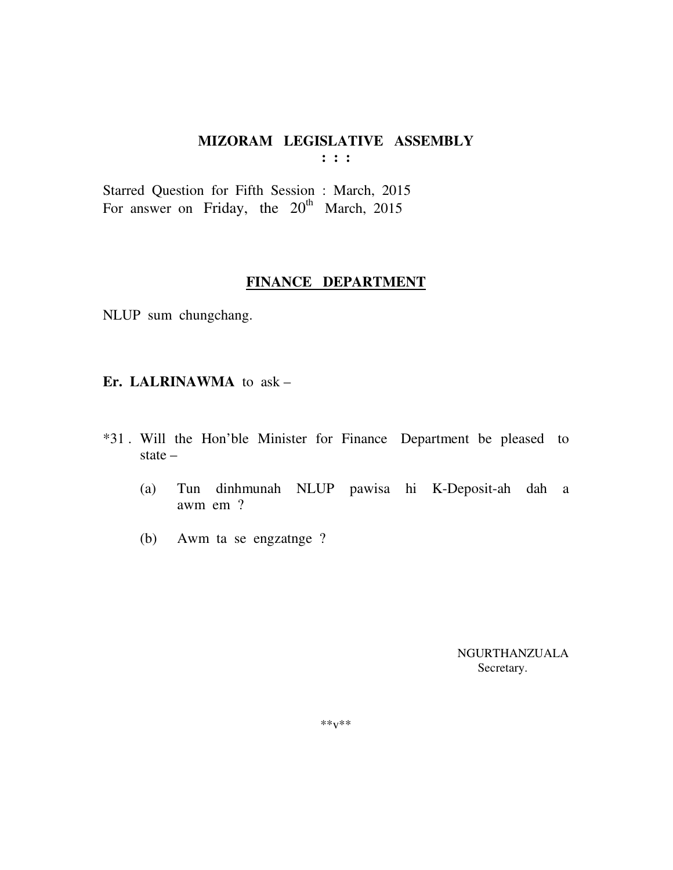**: : :** 

Starred Question for Fifth Session : March, 2015 For answer on Friday, the  $20^{th}$  March, 2015

### **FINANCE DEPARTMENT**

NLUP sum chungchang.

### **Er. LALRINAWMA** to ask –

- \*31 . Will the Hon'ble Minister for Finance Department be pleased to state –
	- (a) Tun dinhmunah NLUP pawisa hi K-Deposit-ah dah a awm em ?
	- (b) Awm ta se engzatnge ?

 NGURTHANZUALA Secretary.

\*\*v\*\*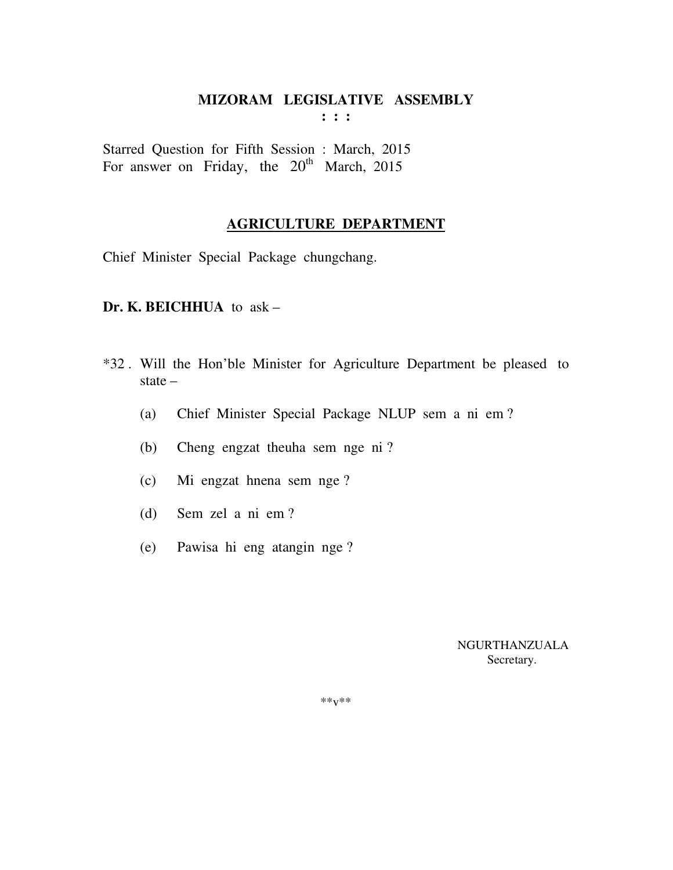Starred Question for Fifth Session : March, 2015 For answer on Friday, the  $20^{th}$  March, 2015

### **AGRICULTURE DEPARTMENT**

Chief Minister Special Package chungchang.

### **Dr. K. BEICHHUA** to ask –

- \*32 . Will the Hon'ble Minister for Agriculture Department be pleased to state –
	- (a) Chief Minister Special Package NLUP sem a ni em ?
	- (b) Cheng engzat theuha sem nge ni ?
	- (c) Mi engzat hnena sem nge ?
	- (d) Sem zel a ni em ?
	- (e) Pawisa hi eng atangin nge ?

 NGURTHANZUALA Secretary.

 $***v***$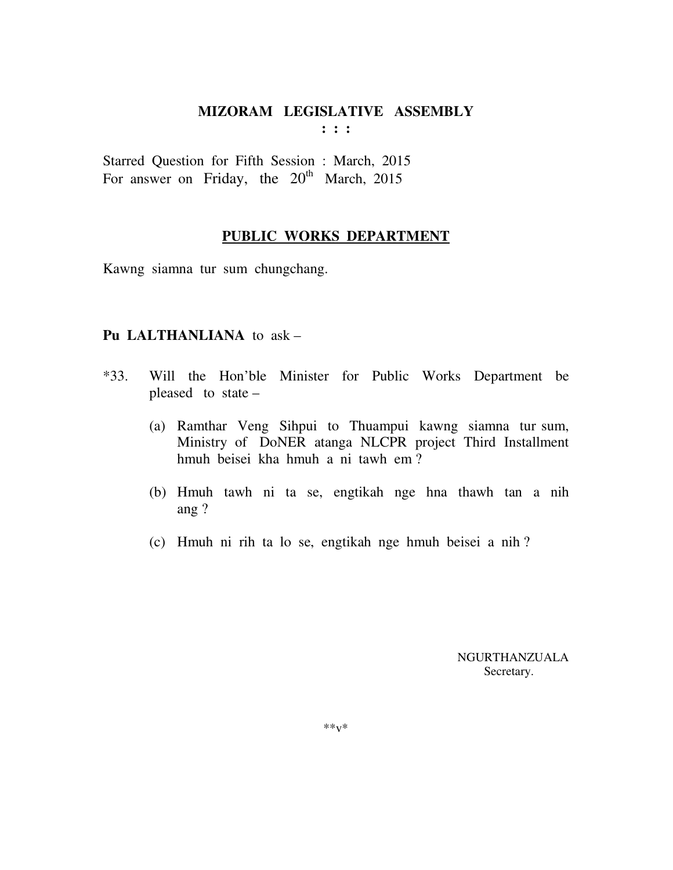Starred Question for Fifth Session : March, 2015 For answer on Friday, the  $20^{th}$  March, 2015

#### **PUBLIC WORKS DEPARTMENT**

Kawng siamna tur sum chungchang.

### **Pu LALTHANLIANA** to ask –

- \*33. Will the Hon'ble Minister for Public Works Department be pleased to state –
	- (a) Ramthar Veng Sihpui to Thuampui kawng siamna tur sum, Ministry of DoNER atanga NLCPR project Third Installment hmuh beisei kha hmuh a ni tawh em ?
	- (b) Hmuh tawh ni ta se, engtikah nge hna thawh tan a nih ang ?
	- (c) Hmuh ni rih ta lo se, engtikah nge hmuh beisei a nih ?

 NGURTHANZUALA Secretary.

 $**v*$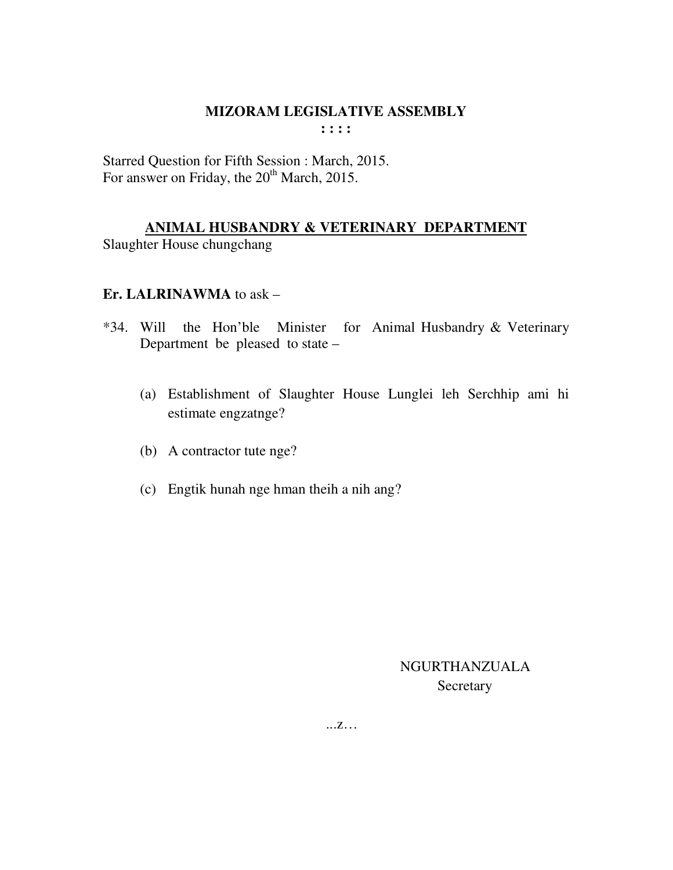Starred Question for Fifth Session : March, 2015. For answer on Friday, the 20<sup>th</sup> March, 2015.

# ANIMAL HUSBANDRY & VETERINARY DEPARTMENT

Slaughter House chungchang

## Er. LALRINAWMA to ask -

- \*34. Will the Hon'ble Minister for Animal Husbandry & Veterinary Department be pleased to state –
	- (a) Establishment of Slaughter House Lunglei leh Serchhip ami hi estimate engzatnge?
	- (b) A contractor tute nge?
	- (c) Engtik hunah nge hman theih a nih ang?

**NGURTHANZUALA** Secretary

 $\dots Z \dots$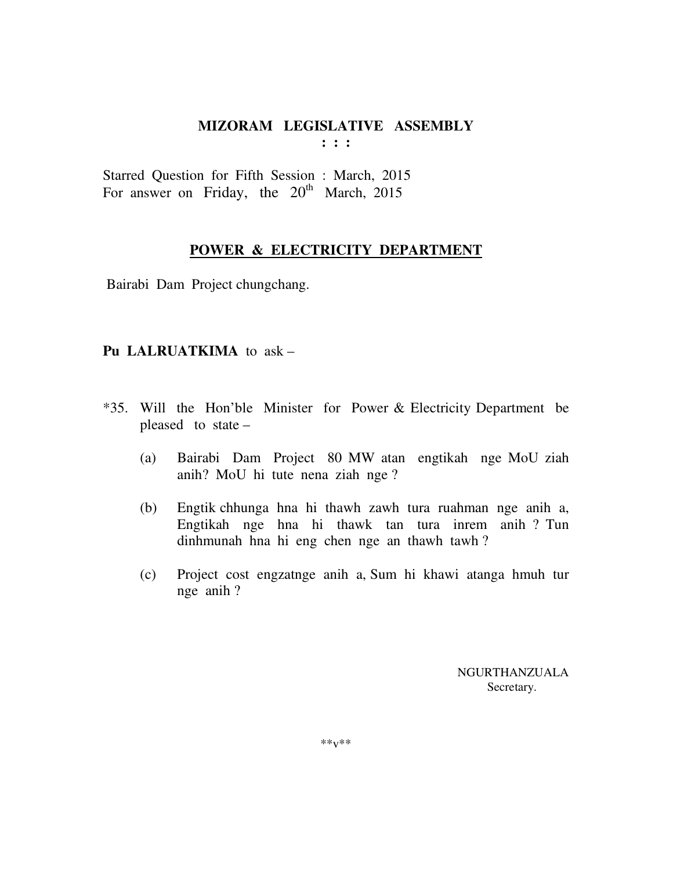Starred Question for Fifth Session : March, 2015 For answer on Friday, the  $20^{th}$  March, 2015

### **POWER & ELECTRICITY DEPARTMENT**

Bairabi Dam Project chungchang.

### **Pu LALRUATKIMA** to ask –

- \*35. Will the Hon'ble Minister for Power & Electricity Department be pleased to state –
	- (a) Bairabi Dam Project 80 MW atan engtikah nge MoU ziah anih? MoU hi tute nena ziah nge ?
	- (b) Engtik chhunga hna hi thawh zawh tura ruahman nge anih a, Engtikah nge hna hi thawk tan tura inrem anih ? Tun dinhmunah hna hi eng chen nge an thawh tawh ?
	- (c) Project cost engzatnge anih a, Sum hi khawi atanga hmuh tur nge anih ?

 NGURTHANZUALA Secretary.

\*\*v\*\*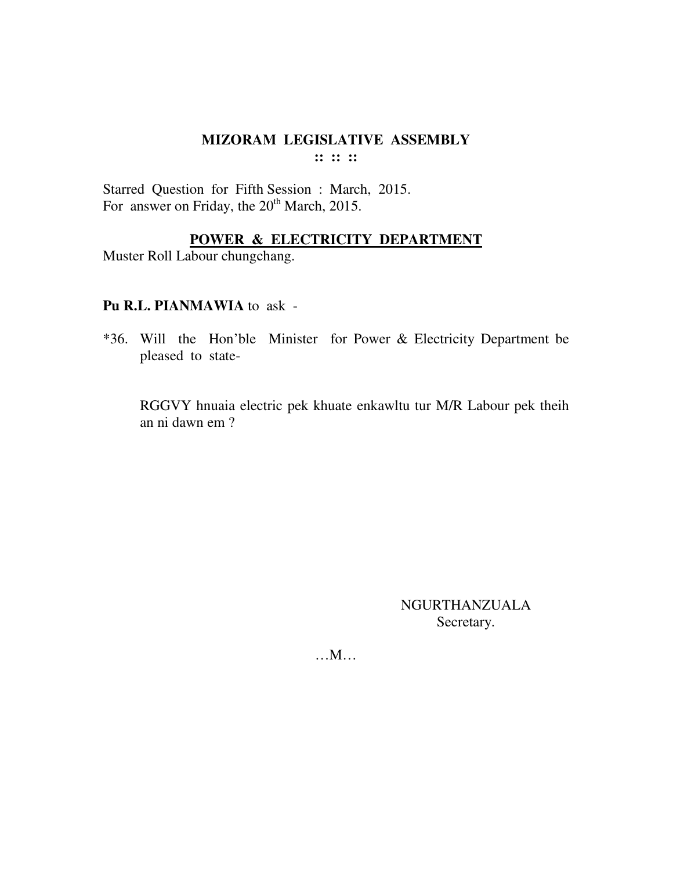$\mathbb{R}^n \times \mathbb{R}^n$ 

Starred Question for Fifth Session : March, 2015. For answer on Friday, the 20<sup>th</sup> March, 2015.

### POWER & ELECTRICITY DEPARTMENT

Muster Roll Labour chungchang.

### Pu R.L. PIANMAWIA to ask -

\*36. Will the Hon'ble Minister for Power & Electricity Department be pleased to state-

RGGVY hnuaia electric pek khuate enkawltu tur M/R Labour pek theih an ni dawn em ?

> **NGURTHANZUALA** Secretary.

 $...M...$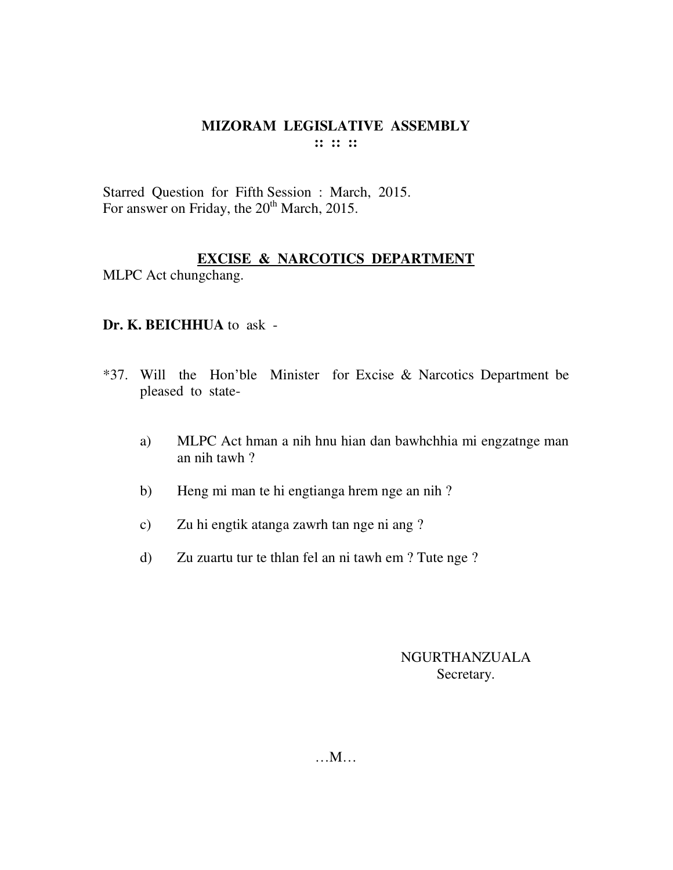Starred Question for Fifth Session : March, 2015. For answer on Friday, the 20<sup>th</sup> March, 2015.

# **EXCISE & NARCOTICS DEPARTMENT**

MLPC Act chungchang.

## **Dr. K. BEICHHUA** to ask -

- \*37. Will the Hon'ble Minister for Excise & Narcotics Department be pleased to state
	- a) MLPC Act hman a nih hnu hian dan bawhchhia mi engzatnge man an nih tawh ?
	- b) Heng mi man te hi engtianga hrem nge an nih ?
	- c) Zu hi engtik atanga zawrh tan nge ni ang ?
	- d) Zu zuartu tur te thlan fel an ni tawh em ? Tute nge ?

## NGURTHANZUALA Secretary.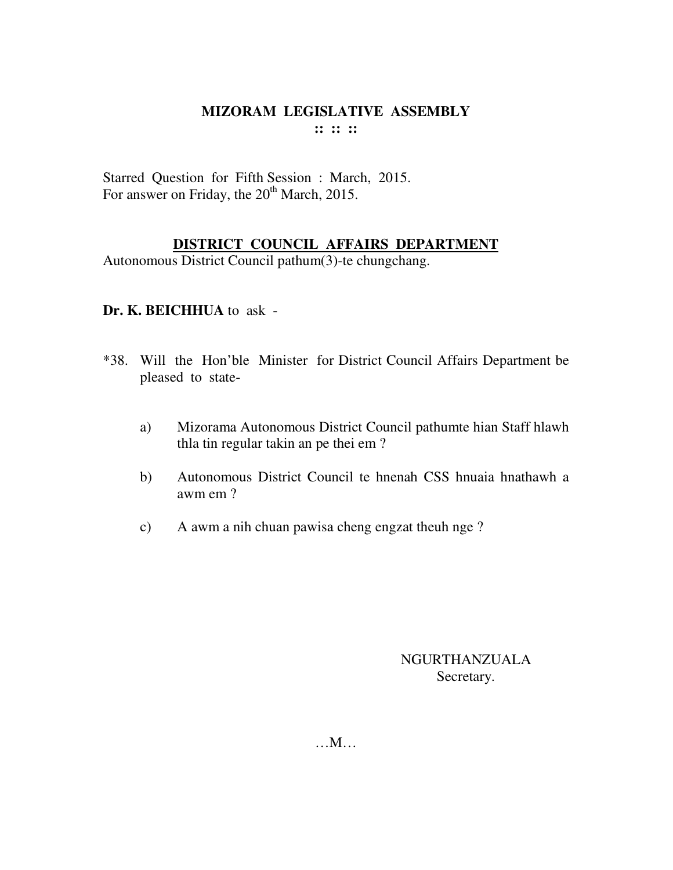Starred Question for Fifth Session : March, 2015. For answer on Friday, the 20<sup>th</sup> March, 2015.

## **DISTRICT COUNCIL AFFAIRS DEPARTMENT**

Autonomous District Council pathum(3)-te chungchang.

# **Dr. K. BEICHHUA** to ask -

- \*38. Will the Hon'ble Minister for District Council Affairs Department be pleased to state
	- a) Mizorama Autonomous District Council pathumte hian Staff hlawh thla tin regular takin an pe thei em ?
	- b) Autonomous District Council te hnenah CSS hnuaia hnathawh a awm em ?
	- c) A awm a nih chuan pawisa cheng engzat theuh nge ?

# NGURTHANZUALA Secretary.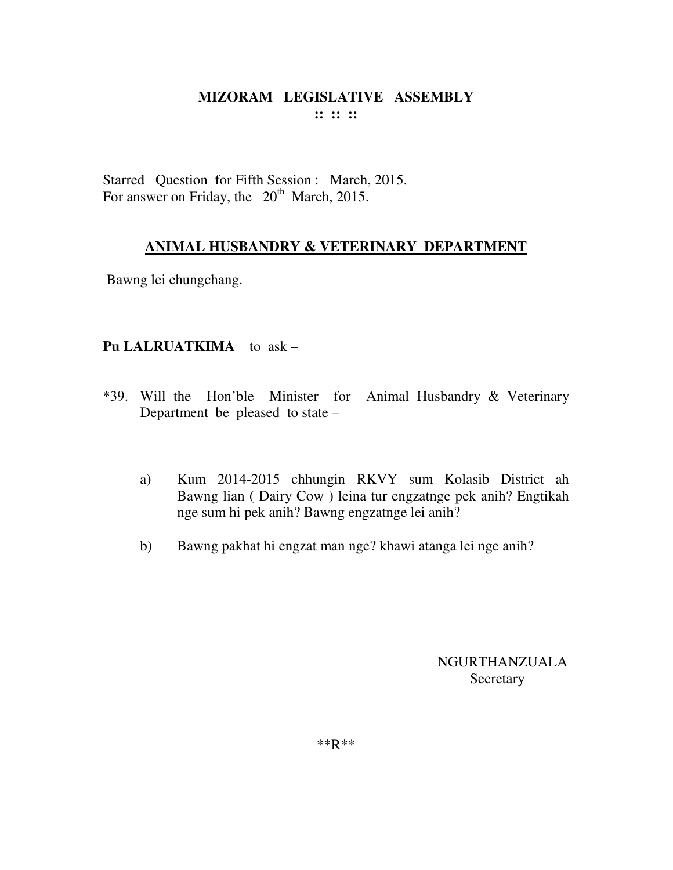Starred Question for Fifth Session : March, 2015. For answer on Friday, the  $20<sup>th</sup>$  March, 2015.

# **ANIMAL HUSBANDRY & VETERINARY DEPARTMENT**

Bawng lei chungchang.

# **Pu LALRUATKIMA** to ask –

- \*39. Will the Hon'ble Minister for Animal Husbandry & Veterinary Department be pleased to state –
	- a) Kum 2014-2015 chhungin RKVY sum Kolasib District ah Bawng lian ( Dairy Cow ) leina tur engzatnge pek anih? Engtikah nge sum hi pek anih? Bawng engzatnge lei anih?
	- b) Bawng pakhat hi engzat man nge? khawi atanga lei nge anih?

NGURTHANZUALA Secretary

\*\*R\*\*